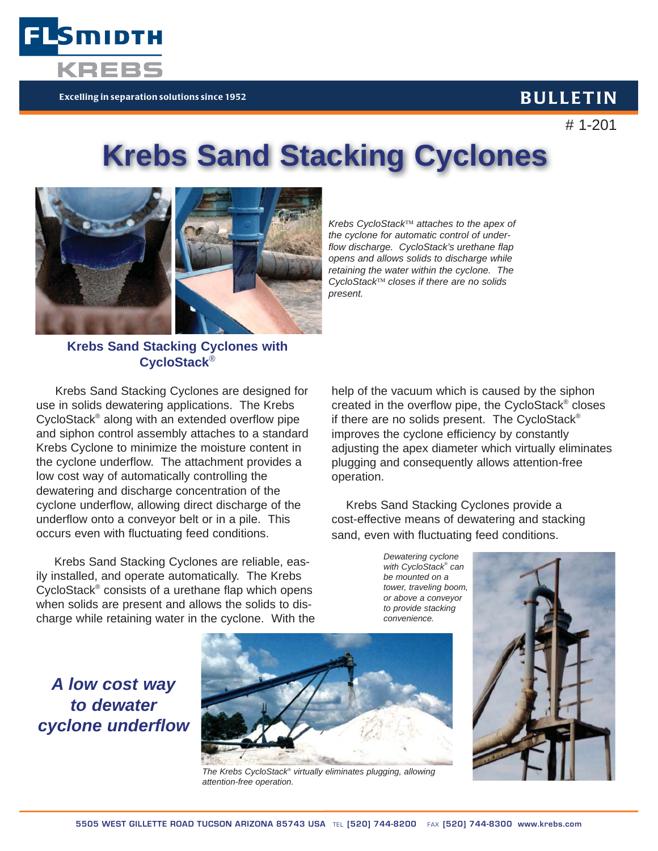

# 1-201

# **Krebs Sand Stacking Cyclones**



Smidth

*Krebs CycloStack*™ *attaches to the apex of the cyclone for automatic control of underflow discharge. CycloStack's urethane flap opens and allows solids to discharge while retaining the water within the cyclone. The CycloStack*™ *closes if there are no solids present.*

# **Krebs Sand Stacking Cyclones with CycloStack**®

 Krebs Sand Stacking Cyclones are designed for use in solids dewatering applications. The Krebs CycloStack® along with an extended overflow pipe and siphon control assembly attaches to a standard Krebs Cyclone to minimize the moisture content in the cyclone underflow. The attachment provides a low cost way of automatically controlling the dewatering and discharge concentration of the cyclone underflow, allowing direct discharge of the underflow onto a conveyor belt or in a pile. This occurs even with fluctuating feed conditions.

 Krebs Sand Stacking Cyclones are reliable, easily installed, and operate automatically. The Krebs CycloStack® consists of a urethane flap which opens when solids are present and allows the solids to discharge while retaining water in the cyclone. With the

*A low cost way to dewater* 

*cyclone underflow*

help of the vacuum which is caused by the siphon created in the overflow pipe, the CycloStack® closes if there are no solids present. The CycloStack® improves the cyclone efficiency by constantly adjusting the apex diameter which virtually eliminates plugging and consequently allows attention-free operation.

 Krebs Sand Stacking Cyclones provide a cost-effective means of dewatering and stacking sand, even with fluctuating feed conditions.

*Dewatering cyclone with CycloStack® can be mounted on a tower, traveling boom, or above a conveyor to provide stacking convenience.*



*The Krebs CycloStack® virtually eliminates plugging, allowing attention-free operation.*